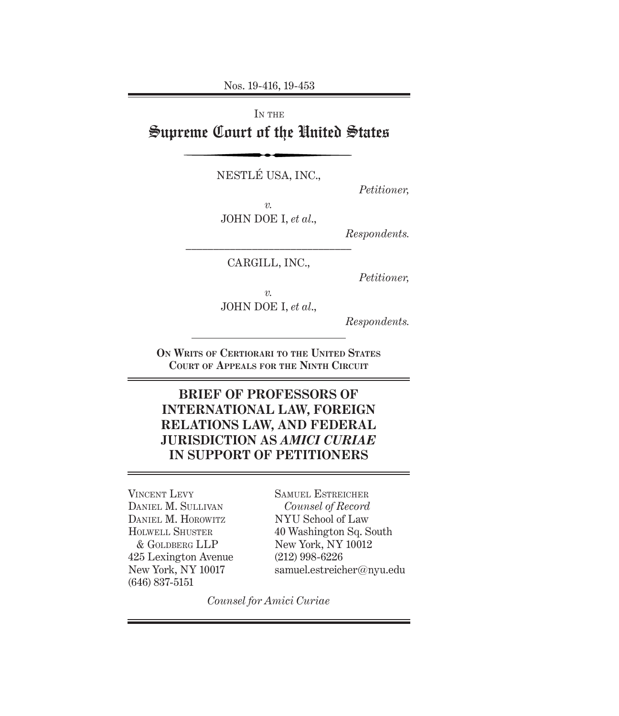Nos. 19-416, 19-453

IN THE Supreme Court of the United States

NESTLÉ USA, INC.,

*Petitioner,*

*v.*

JOHN DOE I, *et al*.,

*Respondents.*

–––––––––––––––––––––––––––––– CARGILL, INC.,

*Petitioner,*

*v.*

JOHN DOE I, *et al*.,

*Respondents.*

**On Writs of Certiorari to the United States Court of Appeals for the Ninth Circuit**

# **BRIEF OF PROFESSORS OF INTERNATIONAL LAW, FOREIGN RELATIONS LAW, AND FEDERAL JURISDICTION AS** *AMICI CURIAE* **IN SUPPORT OF PETITIONERS**

VINCENT LEVY Daniel M. Sullivan Daniel M. Horowitz Holwell Shuster & Goldberg LLP 425 Lexington Avenue New York, NY 10017 (646) 837-5151

Samuel Estreicher *Counsel of Record* NYU School of Law 40 Washington Sq. South New York, NY 10012 (212) 998-6226 samuel.estreicher@nyu.edu

*Counsel for Amici Curiae*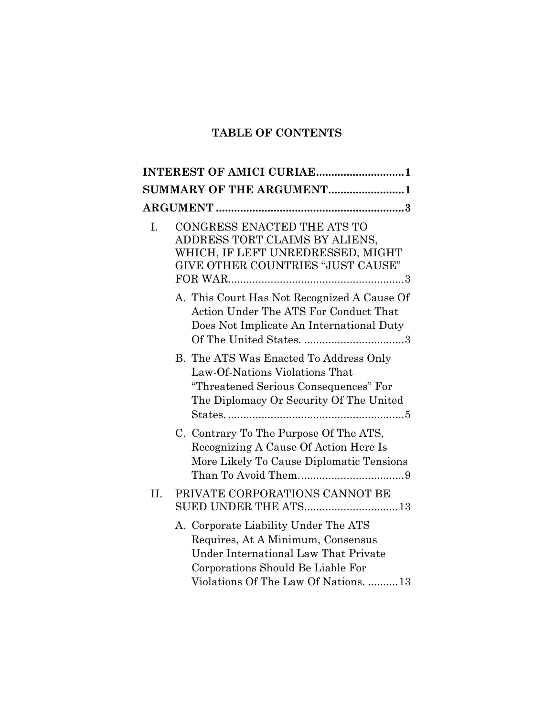# **TABLE OF CONTENTS**

|     | SUMMARY OF THE ARGUMENT1                                                                                                                                                                                                                        |
|-----|-------------------------------------------------------------------------------------------------------------------------------------------------------------------------------------------------------------------------------------------------|
|     |                                                                                                                                                                                                                                                 |
| I.  | CONGRESS ENACTED THE ATS TO<br>ADDRESS TORT CLAIMS BY ALIENS,<br>WHICH, IF LEFT UNREDRESSED, MIGHT<br>GIVE OTHER COUNTRIES "JUST CAUSE"<br>${\rm FOR\,WAR}.\dots.\dots.\dots.\dots.\dots.\dots.\dots.\dots.\dots.\dots.\dots.\dots.\dots.\dots$ |
|     | A. This Court Has Not Recognized A Cause Of<br>Action Under The ATS For Conduct That<br>Does Not Implicate An International Duty                                                                                                                |
|     | B. The ATS Was Enacted To Address Only<br>Law-Of-Nations Violations That<br>"Threatened Serious Consequences" For<br>The Diplomacy Or Security Of The United                                                                                    |
|     | C. Contrary To The Purpose Of The ATS,<br>Recognizing A Cause Of Action Here Is<br>More Likely To Cause Diplomatic Tensions                                                                                                                     |
| II. | PRIVATE CORPORATIONS CANNOT BE<br>SUED UNDER THE ATS13                                                                                                                                                                                          |
|     | A. Corporate Liability Under The ATS<br>Requires, At A Minimum, Consensus<br>Under International Law That Private<br>Corporations Should Be Liable For<br>Violations Of The Law Of Nations.  13                                                 |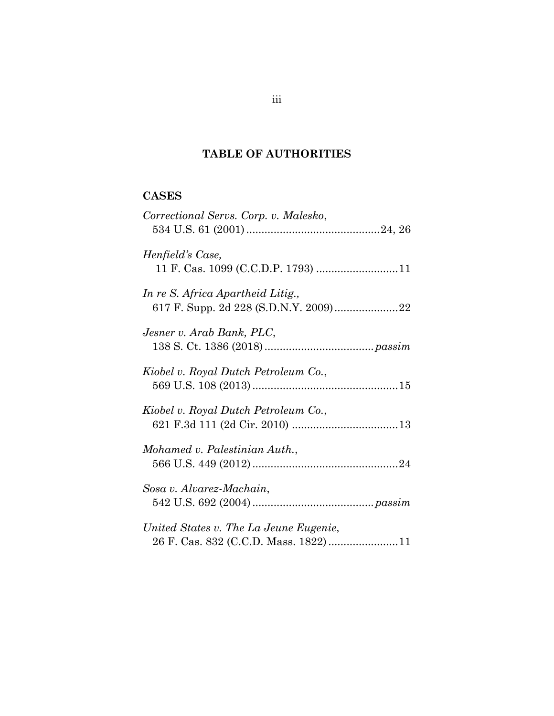## **TABLE OF AUTHORITIES**

## **CASES**

| Correctional Servs. Corp. v. Malesko,  |
|----------------------------------------|
| Henfield's Case,                       |
| In re S. Africa Apartheid Litig.,      |
| Jesner v. Arab Bank, PLC,              |
| Kiobel v. Royal Dutch Petroleum Co.,   |
| Kiobel v. Royal Dutch Petroleum Co.,   |
| Mohamed v. Palestinian Auth.,          |
| Sosa v. Alvarez-Machain,               |
| United States v. The La Jeune Eugenie, |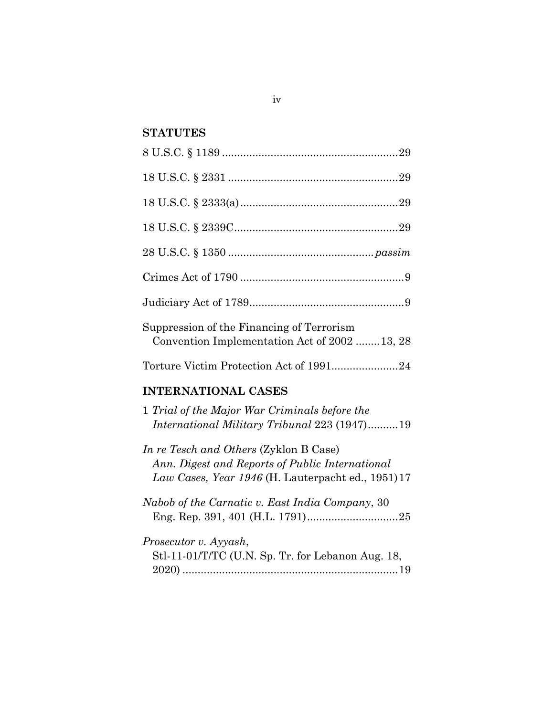## **STATUTES**

| Suppression of the Financing of Terrorism<br>Convention Implementation Act of 2002  13, 28                                                      |
|-------------------------------------------------------------------------------------------------------------------------------------------------|
| Torture Victim Protection Act of 199124                                                                                                         |
| <b>INTERNATIONAL CASES</b>                                                                                                                      |
| 1 Trial of the Major War Criminals before the                                                                                                   |
| International Military Tribunal 223 (1947)19                                                                                                    |
| In re Tesch and Others (Zyklon B Case)<br>Ann. Digest and Reports of Public International<br>Law Cases, Year 1946 (H. Lauterpacht ed., 1951) 17 |
| Nabob of the Carnatic v. East India Company, 30                                                                                                 |
| Prosecutor v. Ayyash,<br>Stl-11-01/T/TC (U.N. Sp. Tr. for Lebanon Aug. 18,                                                                      |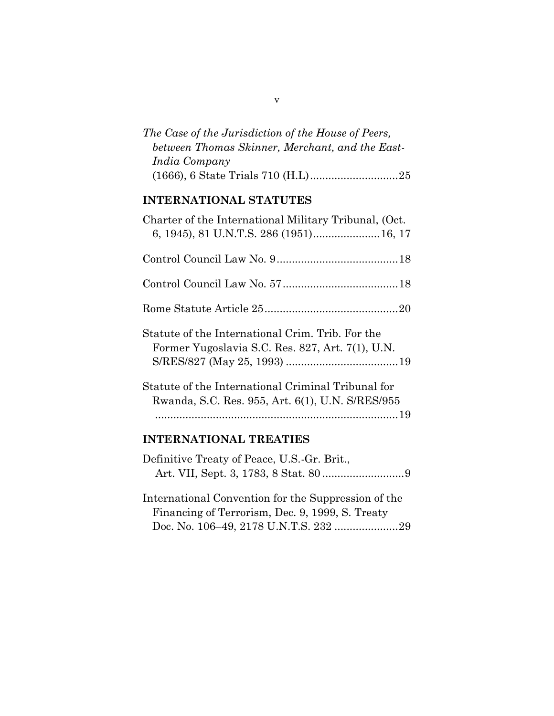| The Case of the Jurisdiction of the House of Peers, |  |
|-----------------------------------------------------|--|
| between Thomas Skinner, Merchant, and the East-     |  |
| India Company                                       |  |
|                                                     |  |

## **INTERNATIONAL STATUTES**

| Charter of the International Military Tribunal, (Oct.<br>6, 1945), 81 U.N.T.S. 286 (1951) 16, 17       |  |
|--------------------------------------------------------------------------------------------------------|--|
|                                                                                                        |  |
|                                                                                                        |  |
|                                                                                                        |  |
| Statute of the International Crim. Trib. For the<br>Former Yugoslavia S.C. Res. 827, Art. 7(1), U.N.   |  |
| Statute of the International Criminal Tribunal for<br>Rwanda, S.C. Res. 955, Art. 6(1), U.N. S/RES/955 |  |
| <b>INTERNATIONAL TREATIES</b>                                                                          |  |

| Definitive Treaty of Peace, U.S.-Gr. Brit., |  |
|---------------------------------------------|--|
|                                             |  |

International Convention for the Suppression of the Financing of Terrorism, Dec. 9, 1999, S. Treaty Doc. No. 106–49, 2178 U.N.T.S. 232 .....................29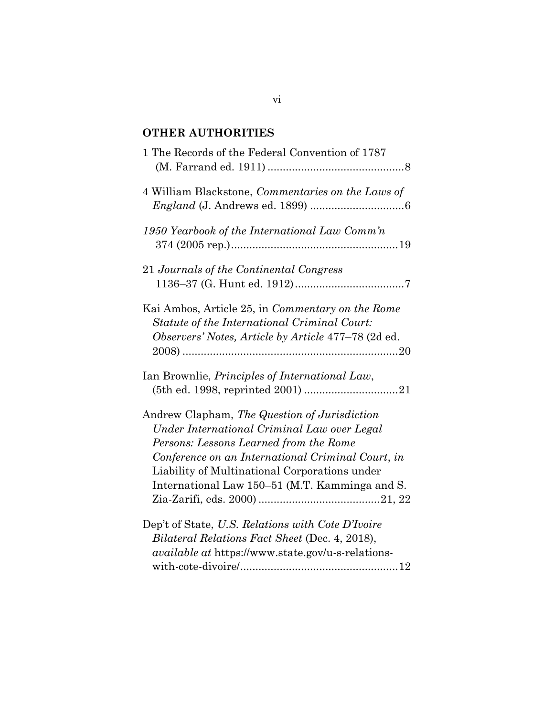# **OTHER AUTHORITIES**

| 1 The Records of the Federal Convention of 1787                                                                                                                                                                                                                                               |
|-----------------------------------------------------------------------------------------------------------------------------------------------------------------------------------------------------------------------------------------------------------------------------------------------|
| 4 William Blackstone, Commentaries on the Laws of                                                                                                                                                                                                                                             |
| 1950 Yearbook of the International Law Comm'n                                                                                                                                                                                                                                                 |
| 21 Journals of the Continental Congress                                                                                                                                                                                                                                                       |
| Kai Ambos, Article 25, in Commentary on the Rome<br>Statute of the International Criminal Court:<br>Observers' Notes, Article by Article 477-78 (2d ed.                                                                                                                                       |
| Ian Brownlie, <i>Principles of International Law</i> ,                                                                                                                                                                                                                                        |
| Andrew Clapham, The Question of Jurisdiction<br>Under International Criminal Law over Legal<br>Persons: Lessons Learned from the Rome<br>Conference on an International Criminal Court, in<br>Liability of Multinational Corporations under<br>International Law 150–51 (M.T. Kamminga and S. |
| Dep't of State, U.S. Relations with Cote D'Ivoire<br>Bilateral Relations Fact Sheet (Dec. 4, 2018),<br><i>available at https://www.state.gov/u-s-relations-</i>                                                                                                                               |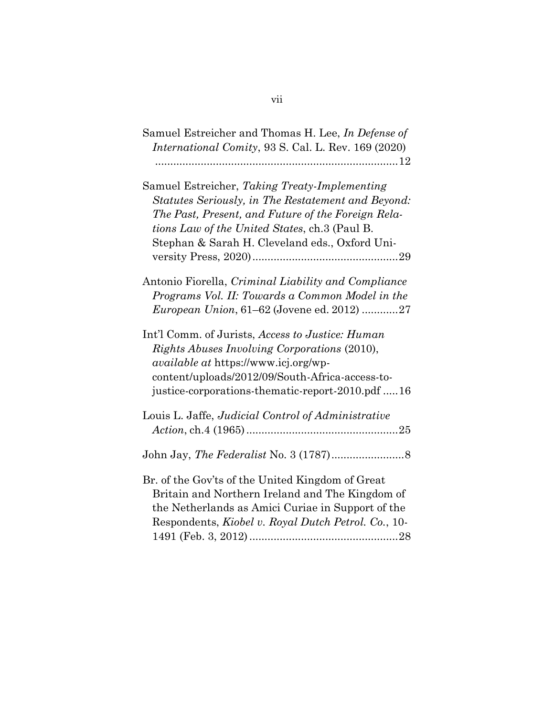| Samuel Estreicher and Thomas H. Lee, In Defense of<br><i>International Comity, 93 S. Cal. L. Rev. 169 (2020)</i>                                                                                                                                                    |
|---------------------------------------------------------------------------------------------------------------------------------------------------------------------------------------------------------------------------------------------------------------------|
| Samuel Estreicher, Taking Treaty-Implementing<br>Statutes Seriously, in The Restatement and Beyond:<br>The Past, Present, and Future of the Foreign Rela-<br><i>tions Law of the United States, ch.3 (Paul B.</i><br>Stephan & Sarah H. Cleveland eds., Oxford Uni- |
| Antonio Fiorella, Criminal Liability and Compliance<br>Programs Vol. II: Towards a Common Model in the<br><i>European Union</i> , 61–62 (Jovene ed. 2012) 27                                                                                                        |
| Int'l Comm. of Jurists, Access to Justice: Human<br><i>Rights Abuses Involving Corporations (2010),</i><br><i>available at https://www.icj.org/wp-</i><br>content/uploads/2012/09/South-Africa-access-to-<br>justice-corporations-thematic-report-2010.pdf 16       |
| Louis L. Jaffe, <i>Judicial Control of Administrative</i>                                                                                                                                                                                                           |
|                                                                                                                                                                                                                                                                     |
| Br. of the Gov'ts of the United Kingdom of Great<br>Britain and Northern Ireland and The Kingdom of<br>the Netherlands as Amici Curiae in Support of the<br>Respondents, Kiobel v. Royal Dutch Petrol. Co., 10-                                                     |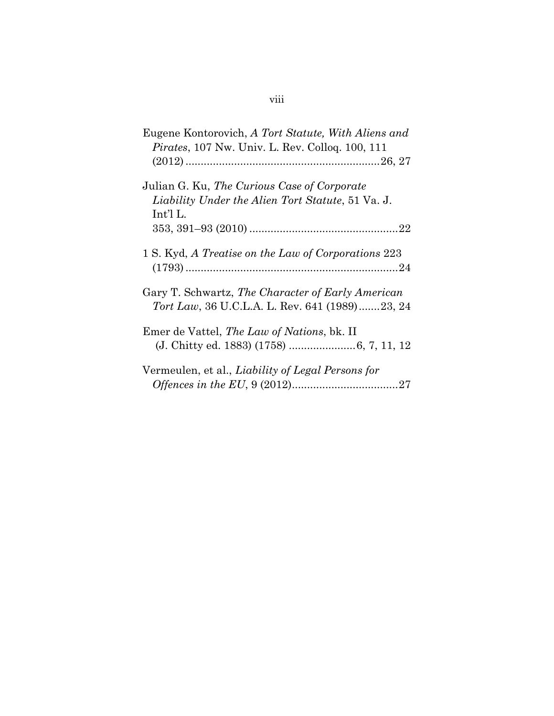| Eugene Kontorovich, A Tort Statute, With Aliens and<br><i>Pirates</i> , 107 Nw. Univ. L. Rev. Collog. 100, 111 |
|----------------------------------------------------------------------------------------------------------------|
| Julian G. Ku, The Curious Case of Corporate<br>Liability Under the Alien Tort Statute, 51 Va. J.<br>Int'l L.   |
| 1 S. Kyd, A Treatise on the Law of Corporations 223                                                            |
| Gary T. Schwartz, The Character of Early American<br><i>Tort Law</i> , 36 U.C.L.A. L. Rev. 641 (1989)23, 24    |
| Emer de Vattel, <i>The Law of Nations</i> , bk. II                                                             |

| Vermeulen, et al., <i>Liability of Legal Persons for</i> |  |
|----------------------------------------------------------|--|
|                                                          |  |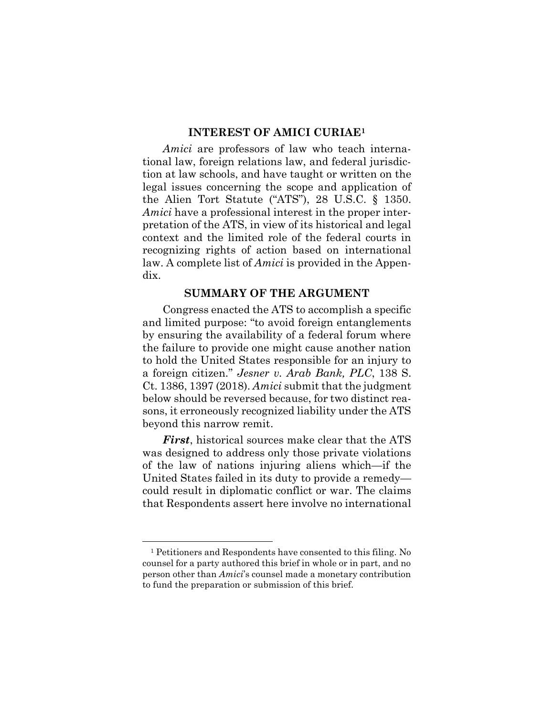#### **INTEREST OF AMICI CURIAE<sup>1</sup>**

<span id="page-9-0"></span>*Amici* are professors of law who teach international law, foreign relations law, and federal jurisdiction at law schools, and have taught or written on the legal issues concerning the scope and application of the Alien Tort Statute ("ATS"), 28 U.S.C. § 1350. *Amici* have a professional interest in the proper interpretation of the ATS, in view of its historical and legal context and the limited role of the federal courts in recognizing rights of action based on international law. A complete list of *Amici* is provided in the Appendix.

#### **SUMMARY OF THE ARGUMENT**

<span id="page-9-1"></span>Congress enacted the ATS to accomplish a specific and limited purpose: "to avoid foreign entanglements by ensuring the availability of a federal forum where the failure to provide one might cause another nation to hold the United States responsible for an injury to a foreign citizen." *Jesner v. Arab Bank, PLC*, 138 S. Ct. 1386, 1397 (2018). *Amici* submit that the judgment below should be reversed because, for two distinct reasons, it erroneously recognized liability under the ATS beyond this narrow remit.

*First*, historical sources make clear that the ATS was designed to address only those private violations of the law of nations injuring aliens which—if the United States failed in its duty to provide a remedy could result in diplomatic conflict or war. The claims that Respondents assert here involve no international

<sup>1</sup> Petitioners and Respondents have consented to this filing. No counsel for a party authored this brief in whole or in part, and no person other than *Amici*'s counsel made a monetary contribution to fund the preparation or submission of this brief.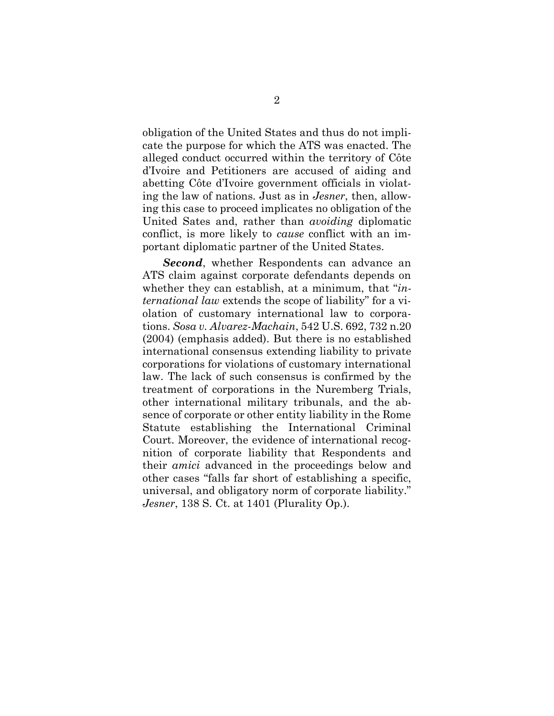obligation of the United States and thus do not implicate the purpose for which the ATS was enacted. The alleged conduct occurred within the territory of Côte d'Ivoire and Petitioners are accused of aiding and abetting Côte d'Ivoire government officials in violating the law of nations. Just as in *Jesner*, then, allowing this case to proceed implicates no obligation of the United Sates and, rather than *avoiding* diplomatic conflict, is more likely to *cause* conflict with an important diplomatic partner of the United States.

*Second*, whether Respondents can advance an ATS claim against corporate defendants depends on whether they can establish, at a minimum, that "*international law* extends the scope of liability" for a violation of customary international law to corporations. *Sosa v. Alvarez-Machain*, 542 U.S. 692, 732 n.20 (2004) (emphasis added). But there is no established international consensus extending liability to private corporations for violations of customary international law. The lack of such consensus is confirmed by the treatment of corporations in the Nuremberg Trials, other international military tribunals, and the absence of corporate or other entity liability in the Rome Statute establishing the International Criminal Court. Moreover, the evidence of international recognition of corporate liability that Respondents and their *amici* advanced in the proceedings below and other cases "falls far short of establishing a specific, universal, and obligatory norm of corporate liability." *Jesner*, 138 S. Ct. at 1401 (Plurality Op.).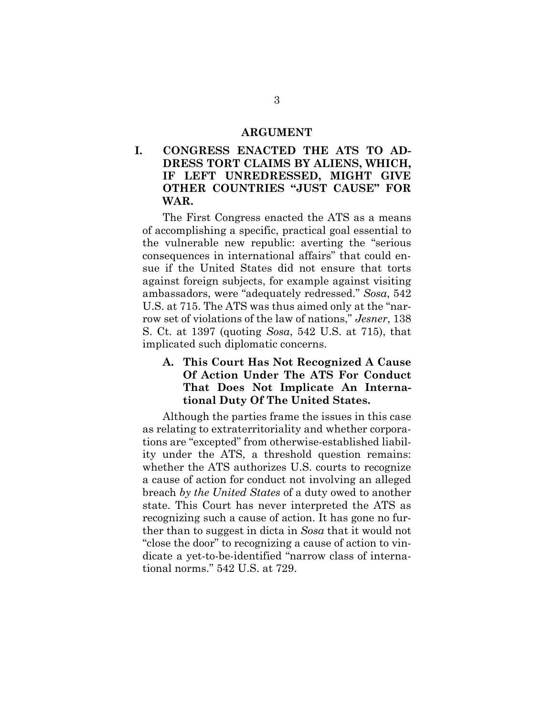#### **ARGUMENT**

<span id="page-11-1"></span><span id="page-11-0"></span>**I. CONGRESS ENACTED THE ATS TO AD-DRESS TORT CLAIMS BY ALIENS, WHICH, IF LEFT UNREDRESSED, MIGHT GIVE OTHER COUNTRIES "JUST CAUSE" FOR WAR.**

The First Congress enacted the ATS as a means of accomplishing a specific, practical goal essential to the vulnerable new republic: averting the "serious consequences in international affairs" that could ensue if the United States did not ensure that torts against foreign subjects, for example against visiting ambassadors, were "adequately redressed." *Sosa*, 542 U.S. at 715. The ATS was thus aimed only at the "narrow set of violations of the law of nations," *Jesner*, 138 S. Ct. at 1397 (quoting *Sosa*, 542 U.S. at 715), that implicated such diplomatic concerns.

<span id="page-11-2"></span>**A. This Court Has Not Recognized A Cause Of Action Under The ATS For Conduct That Does Not Implicate An International Duty Of The United States.**

Although the parties frame the issues in this case as relating to extraterritoriality and whether corporations are "excepted" from otherwise-established liability under the ATS, a threshold question remains: whether the ATS authorizes U.S. courts to recognize a cause of action for conduct not involving an alleged breach *by the United States* of a duty owed to another state. This Court has never interpreted the ATS as recognizing such a cause of action. It has gone no further than to suggest in dicta in *Sosa* that it would not "close the door" to recognizing a cause of action to vindicate a yet-to-be-identified "narrow class of international norms." 542 U.S. at 729.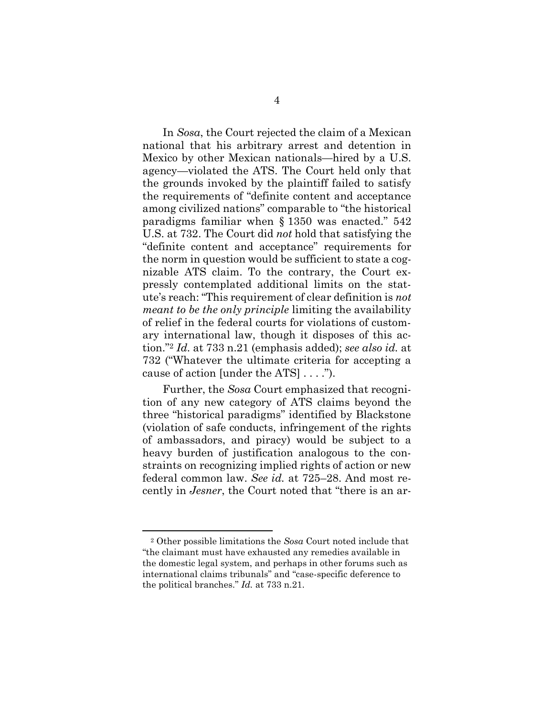In *Sosa*, the Court rejected the claim of a Mexican national that his arbitrary arrest and detention in Mexico by other Mexican nationals—hired by a U.S. agency—violated the ATS. The Court held only that the grounds invoked by the plaintiff failed to satisfy the requirements of "definite content and acceptance among civilized nations" comparable to "the historical paradigms familiar when § 1350 was enacted." 542 U.S. at 732. The Court did *not* hold that satisfying the "definite content and acceptance" requirements for the norm in question would be sufficient to state a cognizable ATS claim. To the contrary, the Court expressly contemplated additional limits on the statute's reach: "This requirement of clear definition is *not meant to be the only principle* limiting the availability of relief in the federal courts for violations of customary international law, though it disposes of this action."<sup>2</sup> *Id.* at 733 n.21 (emphasis added); *see also id.* at 732 ("Whatever the ultimate criteria for accepting a cause of action [under the ATS] . . . .").

Further, the *Sosa* Court emphasized that recognition of any new category of ATS claims beyond the three "historical paradigms" identified by Blackstone (violation of safe conducts, infringement of the rights of ambassadors, and piracy) would be subject to a heavy burden of justification analogous to the constraints on recognizing implied rights of action or new federal common law. *See id.* at 725–28. And most recently in *Jesner*, the Court noted that "there is an ar-

<sup>2</sup> Other possible limitations the *Sosa* Court noted include that "the claimant must have exhausted any remedies available in the domestic legal system, and perhaps in other forums such as international claims tribunals" and "case-specific deference to the political branches." *Id.* at 733 n.21.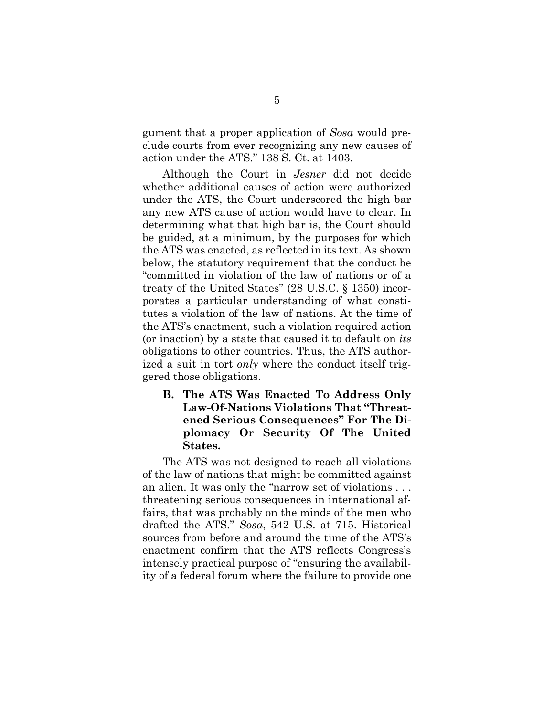gument that a proper application of *Sosa* would preclude courts from ever recognizing any new causes of action under the ATS." 138 S. Ct. at 1403.

Although the Court in *Jesner* did not decide whether additional causes of action were authorized under the ATS, the Court underscored the high bar any new ATS cause of action would have to clear. In determining what that high bar is, the Court should be guided, at a minimum, by the purposes for which the ATS was enacted, as reflected in its text. As shown below, the statutory requirement that the conduct be "committed in violation of the law of nations or of a treaty of the United States" (28 U.S.C. § 1350) incorporates a particular understanding of what constitutes a violation of the law of nations. At the time of the ATS's enactment, such a violation required action (or inaction) by a state that caused it to default on *its* obligations to other countries. Thus, the ATS authorized a suit in tort *only* where the conduct itself triggered those obligations.

<span id="page-13-0"></span>**B. The ATS Was Enacted To Address Only Law-Of-Nations Violations That "Threatened Serious Consequences" For The Diplomacy Or Security Of The United States.**

The ATS was not designed to reach all violations of the law of nations that might be committed against an alien. It was only the "narrow set of violations . . . threatening serious consequences in international affairs, that was probably on the minds of the men who drafted the ATS." *Sosa*, 542 U.S. at 715. Historical sources from before and around the time of the ATS's enactment confirm that the ATS reflects Congress's intensely practical purpose of "ensuring the availability of a federal forum where the failure to provide one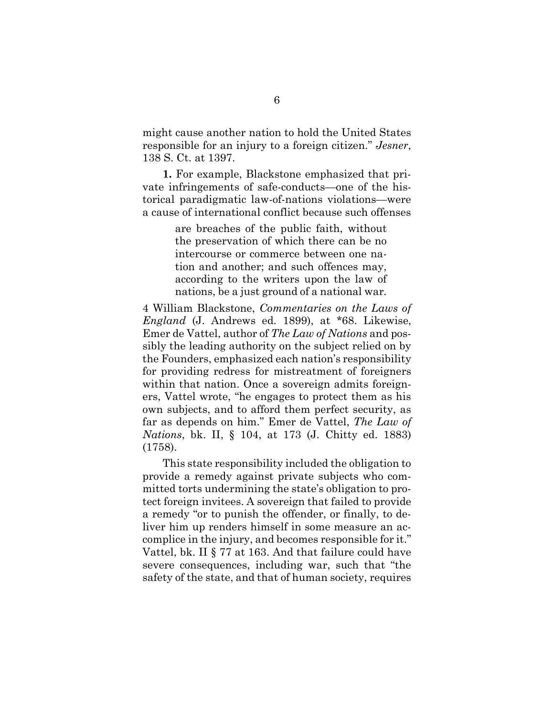might cause another nation to hold the United States responsible for an injury to a foreign citizen." *Jesner*, 138 S. Ct. at 1397.

**1.** For example, Blackstone emphasized that private infringements of safe-conducts—one of the historical paradigmatic law-of-nations violations—were a cause of international conflict because such offenses

> are breaches of the public faith, without the preservation of which there can be no intercourse or commerce between one nation and another; and such offences may, according to the writers upon the law of nations, be a just ground of a national war*.*

4 William Blackstone, *Commentaries on the Laws of England* (J. Andrews ed. 1899), at \*68. Likewise, Emer de Vattel, author of *The Law of Nations* and possibly the leading authority on the subject relied on by the Founders, emphasized each nation's responsibility for providing redress for mistreatment of foreigners within that nation. Once a sovereign admits foreigners, Vattel wrote, "he engages to protect them as his own subjects, and to afford them perfect security, as far as depends on him." Emer de Vattel, *The Law of Nations*, bk. II, § 104, at 173 (J. Chitty ed. 1883) (1758).

This state responsibility included the obligation to provide a remedy against private subjects who committed torts undermining the state's obligation to protect foreign invitees. A sovereign that failed to provide a remedy "or to punish the offender, or finally, to deliver him up renders himself in some measure an accomplice in the injury, and becomes responsible for it." Vattel, bk. II § 77 at 163. And that failure could have severe consequences, including war, such that "the safety of the state, and that of human society, requires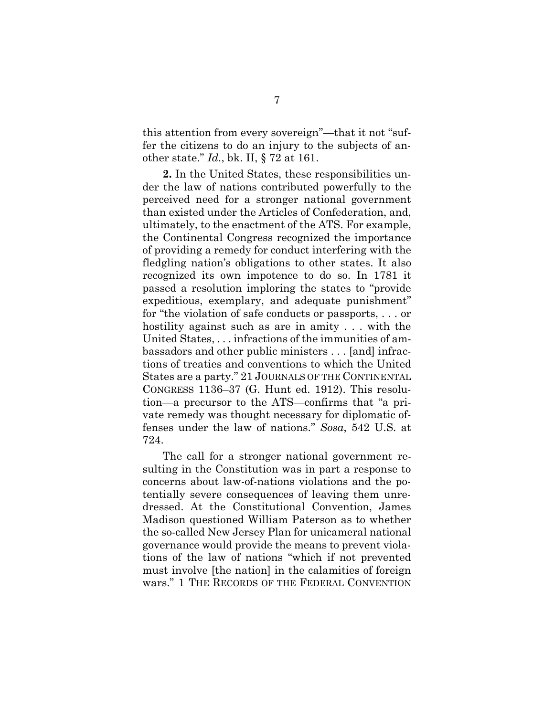this attention from every sovereign"—that it not "suffer the citizens to do an injury to the subjects of another state." *Id.*, bk. II, § 72 at 161.

**2.** In the United States, these responsibilities under the law of nations contributed powerfully to the perceived need for a stronger national government than existed under the Articles of Confederation, and, ultimately, to the enactment of the ATS. For example, the Continental Congress recognized the importance of providing a remedy for conduct interfering with the fledgling nation's obligations to other states. It also recognized its own impotence to do so. In 1781 it passed a resolution imploring the states to "provide expeditious, exemplary, and adequate punishment" for "the violation of safe conducts or passports, . . . or hostility against such as are in amity . . . with the United States, . . . infractions of the immunities of ambassadors and other public ministers . . . [and] infractions of treaties and conventions to which the United States are a party." 21 JOURNALS OF THE CONTINENTAL CONGRESS 1136–37 (G. Hunt ed. 1912). This resolution—a precursor to the ATS—confirms that "a private remedy was thought necessary for diplomatic offenses under the law of nations." *Sosa*, 542 U.S. at 724.

The call for a stronger national government resulting in the Constitution was in part a response to concerns about law-of-nations violations and the potentially severe consequences of leaving them unredressed. At the Constitutional Convention, James Madison questioned William Paterson as to whether the so-called New Jersey Plan for unicameral national governance would provide the means to prevent violations of the law of nations "which if not prevented must involve [the nation] in the calamities of foreign wars." 1 THE RECORDS OF THE FEDERAL CONVENTION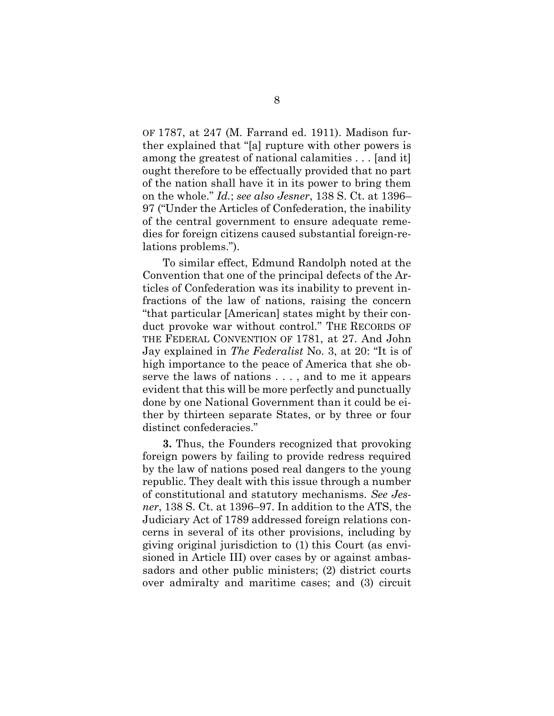OF 1787, at 247 (M. Farrand ed. 1911). Madison further explained that "[a] rupture with other powers is among the greatest of national calamities . . . [and it] ought therefore to be effectually provided that no part of the nation shall have it in its power to bring them on the whole." *Id.*; *see also Jesner*, 138 S. Ct. at 1396– 97 ("Under the Articles of Confederation, the inability of the central government to ensure adequate remedies for foreign citizens caused substantial foreign-relations problems.").

To similar effect, Edmund Randolph noted at the Convention that one of the principal defects of the Articles of Confederation was its inability to prevent infractions of the law of nations, raising the concern "that particular [American] states might by their conduct provoke war without control." THE RECORDS OF THE FEDERAL CONVENTION OF 1781, at 27. And John Jay explained in *The Federalist* No. 3, at 20: "It is of high importance to the peace of America that she observe the laws of nations . . . , and to me it appears evident that this will be more perfectly and punctually done by one National Government than it could be either by thirteen separate States, or by three or four distinct confederacies."

**3.** Thus, the Founders recognized that provoking foreign powers by failing to provide redress required by the law of nations posed real dangers to the young republic. They dealt with this issue through a number of constitutional and statutory mechanisms. *See Jesner*, 138 S. Ct. at 1396–97. In addition to the ATS, the Judiciary Act of 1789 addressed foreign relations concerns in several of its other provisions, including by giving original jurisdiction to (1) this Court (as envisioned in Article III) over cases by or against ambassadors and other public ministers; (2) district courts over admiralty and maritime cases; and (3) circuit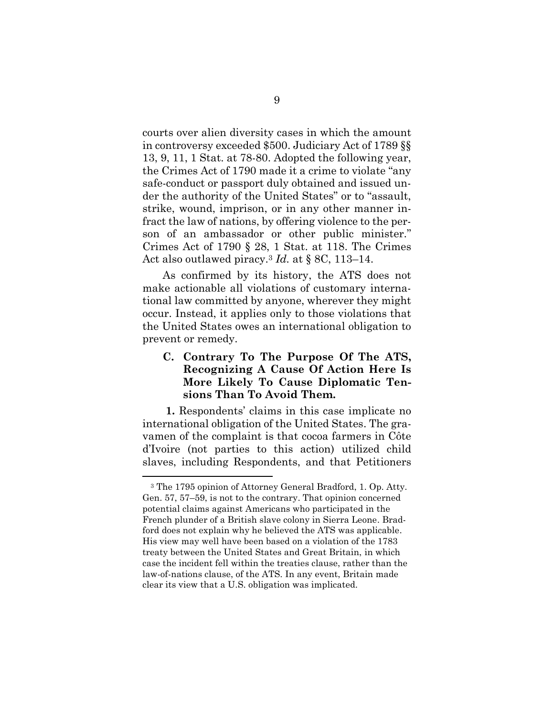courts over alien diversity cases in which the amount in controversy exceeded \$500. Judiciary Act of 1789 §§ 13, 9, 11, 1 Stat. at 78-80. Adopted the following year, the Crimes Act of 1790 made it a crime to violate "any safe-conduct or passport duly obtained and issued under the authority of the United States" or to "assault, strike, wound, imprison, or in any other manner infract the law of nations, by offering violence to the person of an ambassador or other public minister." Crimes Act of 1790 § 28, 1 Stat. at 118. The Crimes Act also outlawed piracy.<sup>3</sup> *Id.* at § 8C, 113–14.

As confirmed by its history, the ATS does not make actionable all violations of customary international law committed by anyone, wherever they might occur. Instead, it applies only to those violations that the United States owes an international obligation to prevent or remedy.

## <span id="page-17-0"></span>**C. Contrary To The Purpose Of The ATS, Recognizing A Cause Of Action Here Is More Likely To Cause Diplomatic Tensions Than To Avoid Them.**

**1.** Respondents' claims in this case implicate no international obligation of the United States. The gravamen of the complaint is that cocoa farmers in Côte d'Ivoire (not parties to this action) utilized child slaves, including Respondents, and that Petitioners

<sup>3</sup> The 1795 opinion of Attorney General Bradford, 1. Op. Atty. Gen. 57, 57–59, is not to the contrary. That opinion concerned potential claims against Americans who participated in the French plunder of a British slave colony in Sierra Leone. Bradford does not explain why he believed the ATS was applicable. His view may well have been based on a violation of the 1783 treaty between the United States and Great Britain, in which case the incident fell within the treaties clause, rather than the law-of-nations clause, of the ATS. In any event, Britain made clear its view that a U.S. obligation was implicated.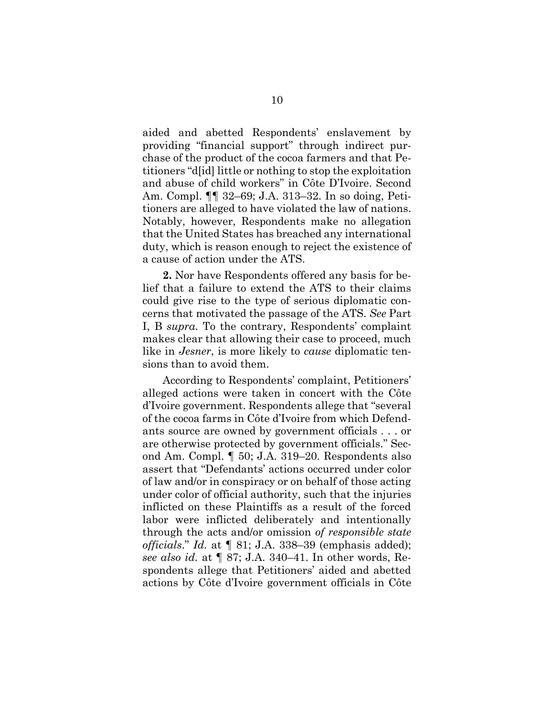aided and abetted Respondents' enslavement by providing "financial support" through indirect purchase of the product of the cocoa farmers and that Petitioners "d[id] little or nothing to stop the exploitation and abuse of child workers" in Côte D'Ivoire. Second Am. Compl. ¶¶ 32–69; J.A. 313–32. In so doing, Petitioners are alleged to have violated the law of nations. Notably, however, Respondents make no allegation that the United States has breached any international duty, which is reason enough to reject the existence of a cause of action under the ATS.

**2.** Nor have Respondents offered any basis for belief that a failure to extend the ATS to their claims could give rise to the type of serious diplomatic concerns that motivated the passage of the ATS. *See* Part I, B *supra*. To the contrary, Respondents' complaint makes clear that allowing their case to proceed, much like in *Jesner*, is more likely to *cause* diplomatic tensions than to avoid them.

According to Respondents' complaint, Petitioners' alleged actions were taken in concert with the Côte d'Ivoire government. Respondents allege that "several of the cocoa farms in Côte d'Ivoire from which Defendants source are owned by government officials . . . or are otherwise protected by government officials." Second Am. Compl. ¶ 50; J.A. 319–20. Respondents also assert that "Defendants' actions occurred under color of law and/or in conspiracy or on behalf of those acting under color of official authority, such that the injuries inflicted on these Plaintiffs as a result of the forced labor were inflicted deliberately and intentionally through the acts and/or omission *of responsible state officials*." *Id.* at ¶ 81; J.A. 338–39 (emphasis added); *see also id.* at ¶ 87; J.A. 340–41. In other words, Respondents allege that Petitioners' aided and abetted actions by Côte d'Ivoire government officials in Côte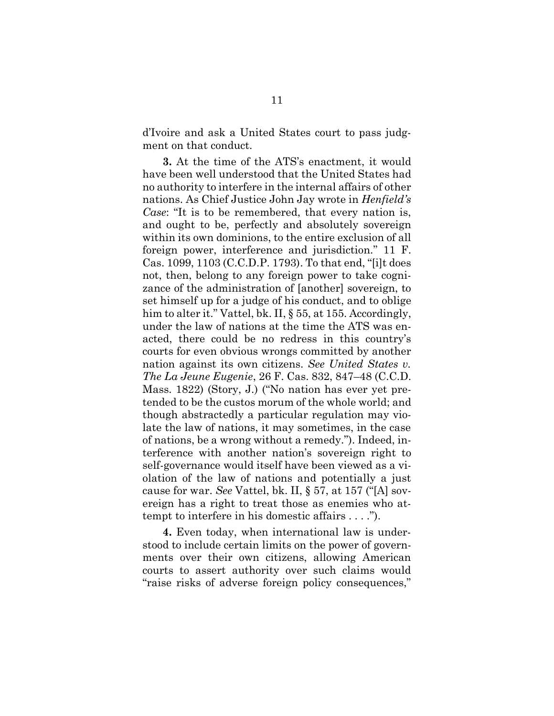d'Ivoire and ask a United States court to pass judgment on that conduct.

**3.** At the time of the ATS's enactment, it would have been well understood that the United States had no authority to interfere in the internal affairs of other nations. As Chief Justice John Jay wrote in *Henfield's Case*: "It is to be remembered, that every nation is, and ought to be, perfectly and absolutely sovereign within its own dominions, to the entire exclusion of all foreign power, interference and jurisdiction." 11 F. Cas. 1099, 1103 (C.C.D.P. 1793). To that end, "[i]t does not, then, belong to any foreign power to take cognizance of the administration of [another] sovereign, to set himself up for a judge of his conduct, and to oblige him to alter it." Vattel, bk. II, § 55, at 155. Accordingly, under the law of nations at the time the ATS was enacted, there could be no redress in this country's courts for even obvious wrongs committed by another nation against its own citizens. *See United States v. The La Jeune Eugenie*, 26 F. Cas. 832, 847–48 (C.C.D. Mass. 1822) (Story, J.) ("No nation has ever yet pretended to be the custos morum of the whole world; and though abstractedly a particular regulation may violate the law of nations, it may sometimes, in the case of nations, be a wrong without a remedy."). Indeed, interference with another nation's sovereign right to self-governance would itself have been viewed as a violation of the law of nations and potentially a just cause for war. *See* Vattel, bk. II, § 57, at 157 ("[A] sovereign has a right to treat those as enemies who attempt to interfere in his domestic affairs . . . .").

**4.** Even today, when international law is understood to include certain limits on the power of governments over their own citizens, allowing American courts to assert authority over such claims would "raise risks of adverse foreign policy consequences,"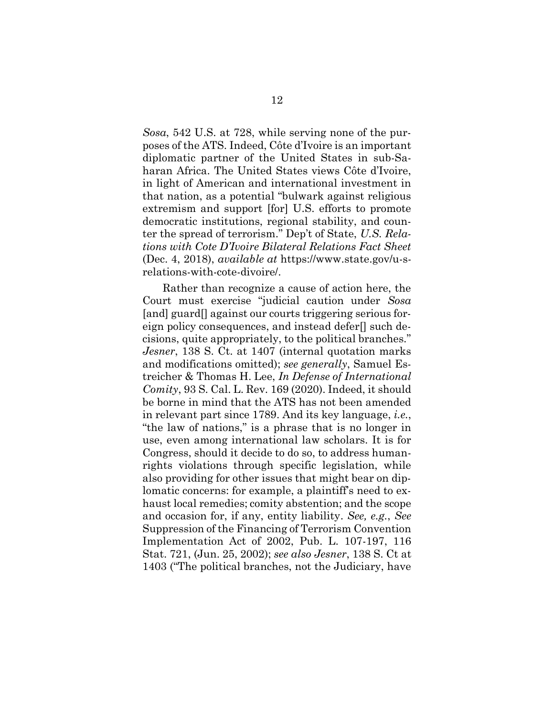*Sosa*, 542 U.S. at 728, while serving none of the purposes of the ATS. Indeed, Côte d'Ivoire is an important diplomatic partner of the United States in sub-Saharan Africa. The United States views Côte d'Ivoire, in light of American and international investment in that nation, as a potential "bulwark against religious extremism and support [for] U.S. efforts to promote democratic institutions, regional stability, and counter the spread of terrorism." Dep't of State, *U.S. Relations with Cote D'Ivoire Bilateral Relations Fact Sheet* (Dec. 4, 2018), *available at* https://www.state.gov/u-srelations-with-cote-divoire/.

Rather than recognize a cause of action here, the Court must exercise "judicial caution under *Sosa* [and] guard<sup>[]</sup> against our courts triggering serious foreign policy consequences, and instead defer[] such decisions, quite appropriately, to the political branches." *Jesner*, 138 S. Ct. at 1407 (internal quotation marks and modifications omitted); *see generally*, Samuel Estreicher & Thomas H. Lee, *In Defense of International Comity*, 93 S. Cal. L. Rev. 169 (2020). Indeed, it should be borne in mind that the ATS has not been amended in relevant part since 1789. And its key language, *i.e.*, "the law of nations," is a phrase that is no longer in use, even among international law scholars. It is for Congress, should it decide to do so, to address humanrights violations through specific legislation, while also providing for other issues that might bear on diplomatic concerns: for example, a plaintiff's need to exhaust local remedies; comity abstention; and the scope and occasion for, if any, entity liability. *See, e.g.*, *See*  Suppression of the Financing of Terrorism Convention Implementation Act of 2002, Pub. L. 107-197, 116 Stat. 721, (Jun. 25, 2002); *see also Jesner*, 138 S. Ct at 1403 ("The political branches, not the Judiciary, have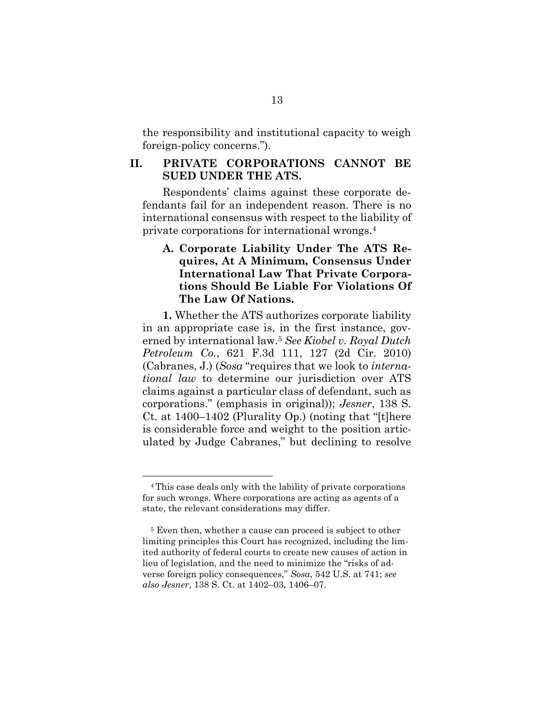the responsibility and institutional capacity to weigh foreign-policy concerns.").

### <span id="page-21-0"></span>**II. PRIVATE CORPORATIONS CANNOT BE SUED UNDER THE ATS.**

Respondents' claims against these corporate defendants fail for an independent reason. There is no international consensus with respect to the liability of private corporations for international wrongs.<sup>4</sup>

## <span id="page-21-1"></span>**A. Corporate Liability Under The ATS Requires, At A Minimum, Consensus Under International Law That Private Corporations Should Be Liable For Violations Of The Law Of Nations.**

**1.** Whether the ATS authorizes corporate liability in an appropriate case is, in the first instance, governed by international law.<sup>5</sup> *See Kiobel v. Royal Dutch Petroleum Co.*, 621 F.3d 111, 127 (2d Cir. 2010) (Cabranes, J.) (*Sosa* "requires that we look to *international law* to determine our jurisdiction over ATS claims against a particular class of defendant, such as corporations." (emphasis in original)); *Jesner*, 138 S. Ct. at 1400–1402 (Plurality Op.) (noting that "[t]here is considerable force and weight to the position articulated by Judge Cabranes," but declining to resolve

<sup>4</sup> This case deals only with the lability of private corporations for such wrongs. Where corporations are acting as agents of a state, the relevant considerations may differ.

<sup>5</sup> Even then, whether a cause can proceed is subject to other limiting principles this Court has recognized, including the limited authority of federal courts to create new causes of action in lieu of legislation, and the need to minimize the "risks of adverse foreign policy consequences," *Sosa*, 542 U.S. at 741; *see also Jesner*, 138 S. Ct. at 1402–03, 1406–07.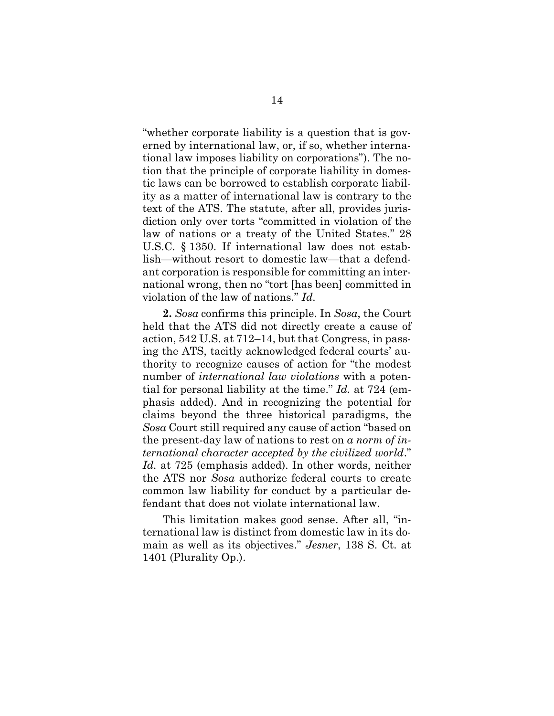"whether corporate liability is a question that is governed by international law, or, if so, whether international law imposes liability on corporations"). The notion that the principle of corporate liability in domestic laws can be borrowed to establish corporate liability as a matter of international law is contrary to the text of the ATS. The statute, after all, provides jurisdiction only over torts "committed in violation of the law of nations or a treaty of the United States." 28 U.S.C. § 1350. If international law does not establish—without resort to domestic law—that a defendant corporation is responsible for committing an international wrong, then no "tort [has been] committed in violation of the law of nations." *Id*.

**2.** *Sosa* confirms this principle. In *Sosa*, the Court held that the ATS did not directly create a cause of action, 542 U.S. at 712–14, but that Congress, in passing the ATS, tacitly acknowledged federal courts' authority to recognize causes of action for "the modest number of *international law violations* with a potential for personal liability at the time." *Id.* at 724 (emphasis added). And in recognizing the potential for claims beyond the three historical paradigms, the *Sosa* Court still required any cause of action "based on the present-day law of nations to rest on *a norm of international character accepted by the civilized world*." *Id.* at 725 (emphasis added). In other words, neither the ATS nor *Sosa* authorize federal courts to create common law liability for conduct by a particular defendant that does not violate international law.

This limitation makes good sense. After all, "international law is distinct from domestic law in its domain as well as its objectives." *Jesner*, 138 S. Ct. at 1401 (Plurality Op.).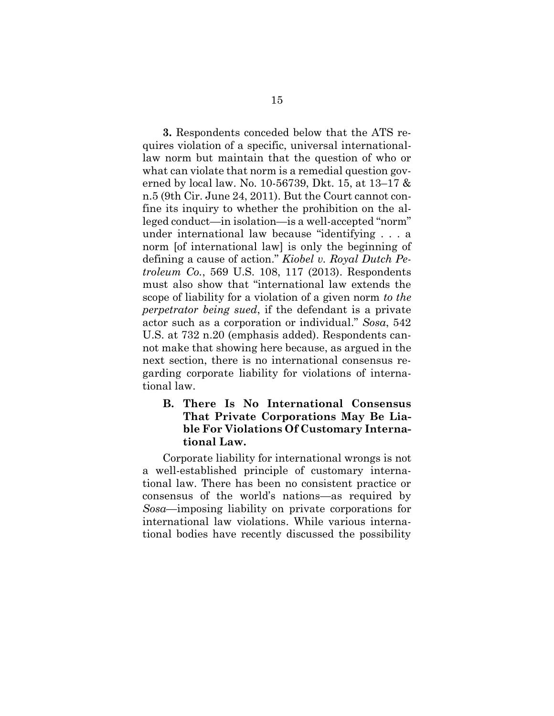**3.** Respondents conceded below that the ATS requires violation of a specific, universal internationallaw norm but maintain that the question of who or what can violate that norm is a remedial question governed by local law. No. 10-56739, Dkt. 15, at 13–17 & n.5 (9th Cir. June 24, 2011). But the Court cannot confine its inquiry to whether the prohibition on the alleged conduct—in isolation—is a well-accepted "norm" under international law because "identifying . . . a norm [of international law] is only the beginning of defining a cause of action." *Kiobel v. Royal Dutch Petroleum Co.*, 569 U.S. 108, 117 (2013). Respondents must also show that "international law extends the scope of liability for a violation of a given norm *to the perpetrator being sued*, if the defendant is a private actor such as a corporation or individual." *Sosa*, 542 U.S. at 732 n.20 (emphasis added). Respondents cannot make that showing here because, as argued in the next section, there is no international consensus regarding corporate liability for violations of international law.

## <span id="page-23-0"></span>**B. There Is No International Consensus That Private Corporations May Be Liable For Violations Of Customary International Law.**

Corporate liability for international wrongs is not a well-established principle of customary international law. There has been no consistent practice or consensus of the world's nations—as required by *Sosa*—imposing liability on private corporations for international law violations. While various international bodies have recently discussed the possibility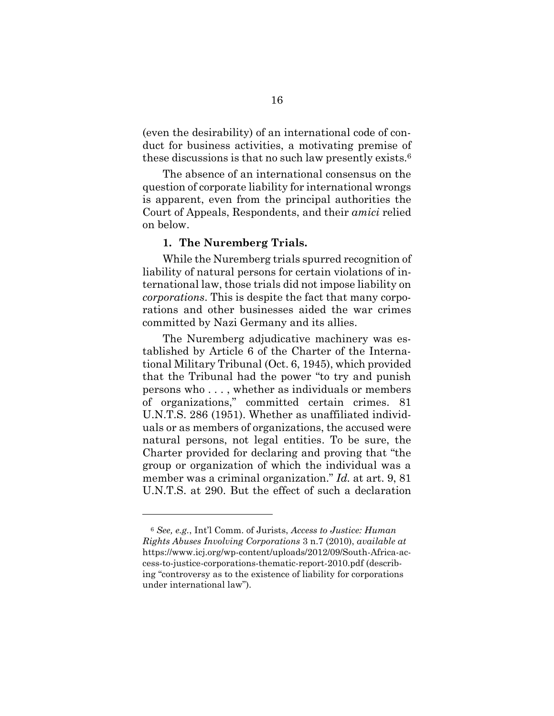(even the desirability) of an international code of conduct for business activities, a motivating premise of these discussions is that no such law presently exists.<sup>6</sup>

The absence of an international consensus on the question of corporate liability for international wrongs is apparent, even from the principal authorities the Court of Appeals, Respondents, and their *amici* relied on below.

#### **1. The Nuremberg Trials.**

While the Nuremberg trials spurred recognition of liability of natural persons for certain violations of international law, those trials did not impose liability on *corporations*. This is despite the fact that many corporations and other businesses aided the war crimes committed by Nazi Germany and its allies.

The Nuremberg adjudicative machinery was established by Article 6 of the Charter of the International Military Tribunal (Oct. 6, 1945), which provided that the Tribunal had the power "to try and punish persons who . . . , whether as individuals or members of organizations," committed certain crimes. 81 U.N.T.S. 286 (1951). Whether as unaffiliated individuals or as members of organizations, the accused were natural persons, not legal entities. To be sure, the Charter provided for declaring and proving that "the group or organization of which the individual was a member was a criminal organization." *Id.* at art. 9, 81 U.N.T.S. at 290. But the effect of such a declaration

<sup>6</sup> *See, e.g.*, Int'l Comm. of Jurists, *Access to Justice: Human Rights Abuses Involving Corporations* 3 n.7 (2010), *available at*  https://www.icj.org/wp-content/uploads/2012/09/South-Africa-access-to-justice-corporations-thematic-report-2010.pdf (describing "controversy as to the existence of liability for corporations under international law").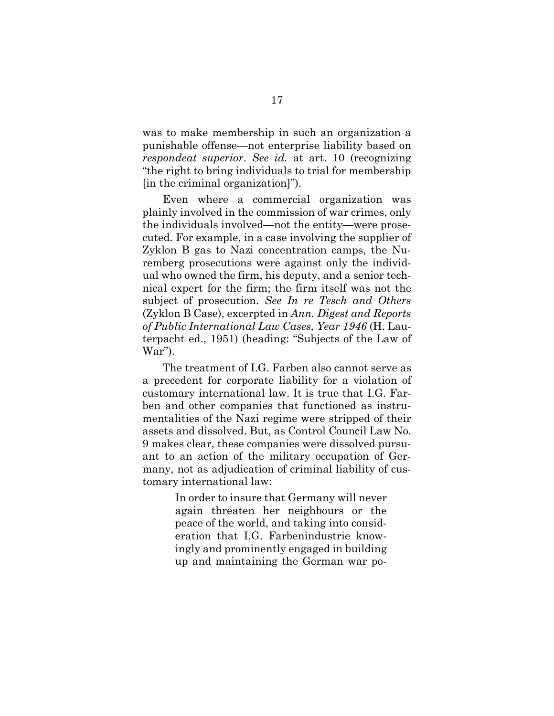was to make membership in such an organization a punishable offense—not enterprise liability based on *respondeat superior*. *See id.* at art. 10 (recognizing "the right to bring individuals to trial for membership [in the criminal organization]").

Even where a commercial organization was plainly involved in the commission of war crimes, only the individuals involved—not the entity—were prosecuted. For example, in a case involving the supplier of Zyklon B gas to Nazi concentration camps, the Nuremberg prosecutions were against only the individual who owned the firm, his deputy, and a senior technical expert for the firm; the firm itself was not the subject of prosecution. *See In re Tesch and Others* (Zyklon B Case), excerpted in *Ann. Digest and Reports of Public International Law Cases, Year 1946* (H. Lauterpacht ed., 1951) (heading: "Subjects of the Law of War").

The treatment of I.G. Farben also cannot serve as a precedent for corporate liability for a violation of customary international law. It is true that I.G. Farben and other companies that functioned as instrumentalities of the Nazi regime were stripped of their assets and dissolved. But, as Control Council Law No. 9 makes clear, these companies were dissolved pursuant to an action of the military occupation of Germany, not as adjudication of criminal liability of customary international law:

> In order to insure that Germany will never again threaten her neighbours or the peace of the world, and taking into consideration that I.G. Farbenindustrie knowingly and prominently engaged in building up and maintaining the German war po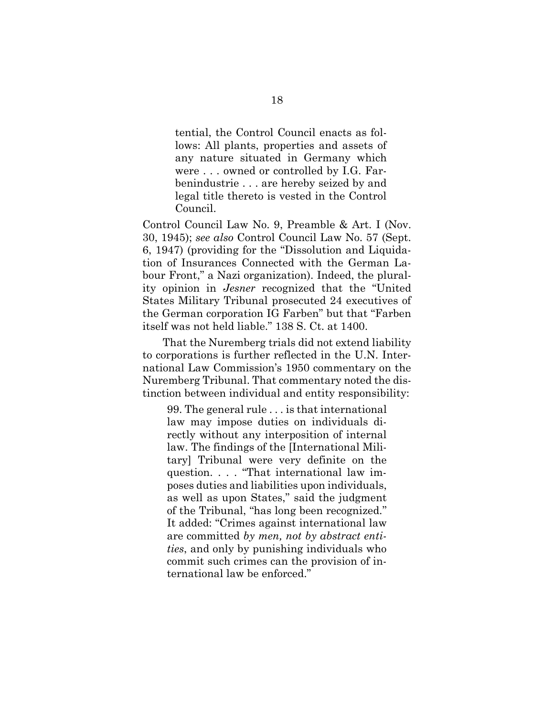tential, the Control Council enacts as follows: All plants, properties and assets of any nature situated in Germany which were . . . owned or controlled by I.G. Farbenindustrie . . . are hereby seized by and legal title thereto is vested in the Control Council.

Control Council Law No. 9, Preamble & Art. I (Nov. 30, 1945); *see also* Control Council Law No. 57 (Sept. 6, 1947) (providing for the "Dissolution and Liquidation of Insurances Connected with the German Labour Front," a Nazi organization). Indeed, the plurality opinion in *Jesner* recognized that the "United States Military Tribunal prosecuted 24 executives of the German corporation IG Farben" but that "Farben itself was not held liable." 138 S. Ct. at 1400.

That the Nuremberg trials did not extend liability to corporations is further reflected in the U.N. International Law Commission's 1950 commentary on the Nuremberg Tribunal. That commentary noted the distinction between individual and entity responsibility:

99. The general rule . . . is that international law may impose duties on individuals directly without any interposition of internal law. The findings of the [International Military] Tribunal were very definite on the question. . . . "That international law imposes duties and liabilities upon individuals, as well as upon States," said the judgment of the Tribunal, "has long been recognized." It added: "Crimes against international law are committed *by men, not by abstract entities*, and only by punishing individuals who commit such crimes can the provision of international law be enforced."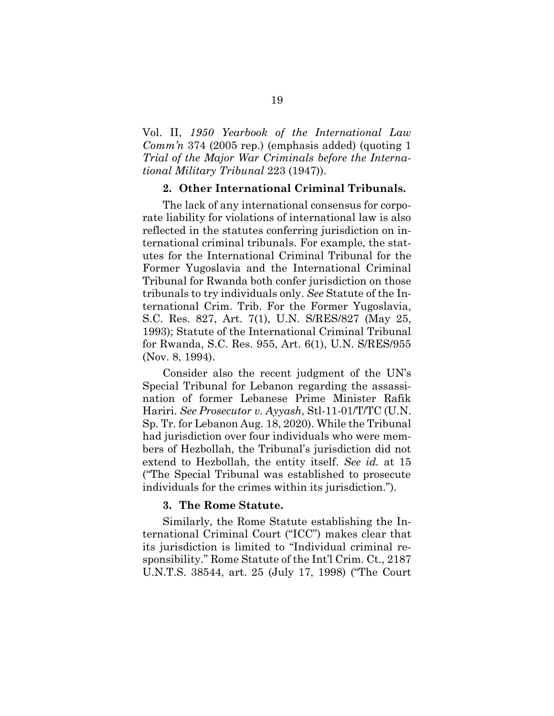Vol. II, *1950 Yearbook of the International Law Comm'n* 374 (2005 rep.) (emphasis added) (quoting 1 *Trial of the Major War Criminals before the International Military Tribunal* 223 (1947)).

#### **2. Other International Criminal Tribunals.**

The lack of any international consensus for corporate liability for violations of international law is also reflected in the statutes conferring jurisdiction on international criminal tribunals. For example, the statutes for the International Criminal Tribunal for the Former Yugoslavia and the International Criminal Tribunal for Rwanda both confer jurisdiction on those tribunals to try individuals only. *See* Statute of the International Crim. Trib. For the Former Yugoslavia, S.C. Res. 827, Art. 7(1), U.N. S/RES/827 (May 25, 1993); Statute of the International Criminal Tribunal for Rwanda, S.C. Res. 955, Art. 6(1), U.N. S/RES/955 (Nov. 8, 1994).

Consider also the recent judgment of the UN's Special Tribunal for Lebanon regarding the assassination of former Lebanese Prime Minister Rafik Hariri. *See Prosecutor v. Ayyash*, Stl-11-01/T/TC (U.N. Sp. Tr. for Lebanon Aug. 18, 2020). While the Tribunal had jurisdiction over four individuals who were members of Hezbollah, the Tribunal's jurisdiction did not extend to Hezbollah, the entity itself. *See id.* at 15 ("The Special Tribunal was established to prosecute individuals for the crimes within its jurisdiction.").

#### **3. The Rome Statute.**

Similarly, the Rome Statute establishing the International Criminal Court ("ICC") makes clear that its jurisdiction is limited to "Individual criminal responsibility." Rome Statute of the Int'l Crim. Ct., 2187 U.N.T.S. 38544, art. 25 (July 17, 1998) ("The Court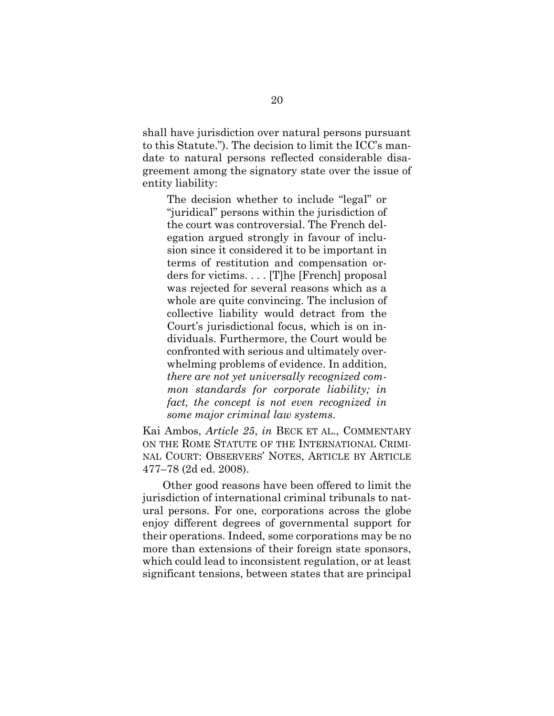shall have jurisdiction over natural persons pursuant to this Statute."). The decision to limit the ICC's mandate to natural persons reflected considerable disagreement among the signatory state over the issue of entity liability:

The decision whether to include "legal" or "juridical" persons within the jurisdiction of the court was controversial. The French delegation argued strongly in favour of inclusion since it considered it to be important in terms of restitution and compensation orders for victims. . . . [T]he [French] proposal was rejected for several reasons which as a whole are quite convincing. The inclusion of collective liability would detract from the Court's jurisdictional focus, which is on individuals. Furthermore, the Court would be confronted with serious and ultimately overwhelming problems of evidence. In addition, *there are not yet universally recognized common standards for corporate liability; in fact, the concept is not even recognized in some major criminal law systems*.

Kai Ambos, *Article 25*, *in* BECK ET AL., COMMENTARY ON THE ROME STATUTE OF THE INTERNATIONAL CRIMI-NAL COURT: OBSERVERS' NOTES, ARTICLE BY ARTICLE 477–78 (2d ed. 2008).

Other good reasons have been offered to limit the jurisdiction of international criminal tribunals to natural persons. For one, corporations across the globe enjoy different degrees of governmental support for their operations. Indeed, some corporations may be no more than extensions of their foreign state sponsors, which could lead to inconsistent regulation, or at least significant tensions, between states that are principal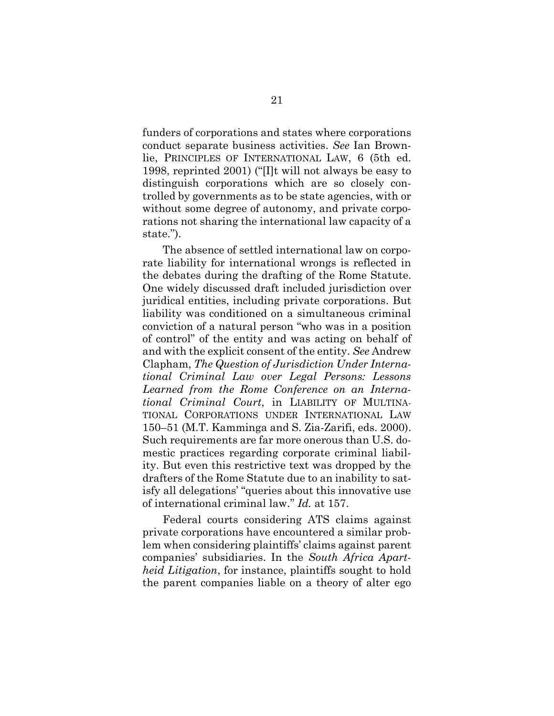funders of corporations and states where corporations conduct separate business activities. *See* Ian Brownlie, PRINCIPLES OF INTERNATIONAL LAW, 6 (5th ed. 1998, reprinted 2001) ("[I]t will not always be easy to distinguish corporations which are so closely controlled by governments as to be state agencies, with or without some degree of autonomy, and private corporations not sharing the international law capacity of a state.").

The absence of settled international law on corporate liability for international wrongs is reflected in the debates during the drafting of the Rome Statute. One widely discussed draft included jurisdiction over juridical entities, including private corporations. But liability was conditioned on a simultaneous criminal conviction of a natural person "who was in a position of control" of the entity and was acting on behalf of and with the explicit consent of the entity. *See* Andrew Clapham, *The Question of Jurisdiction Under International Criminal Law over Legal Persons: Lessons Learned from the Rome Conference on an International Criminal Court*, in LIABILITY OF MULTINA-TIONAL CORPORATIONS UNDER INTERNATIONAL LAW 150–51 (M.T. Kamminga and S. Zia-Zarifi, eds. 2000). Such requirements are far more onerous than U.S. domestic practices regarding corporate criminal liability. But even this restrictive text was dropped by the drafters of the Rome Statute due to an inability to satisfy all delegations' "queries about this innovative use of international criminal law." *Id.* at 157.

Federal courts considering ATS claims against private corporations have encountered a similar problem when considering plaintiffs' claims against parent companies' subsidiaries. In the *South Africa Apartheid Litigation*, for instance, plaintiffs sought to hold the parent companies liable on a theory of alter ego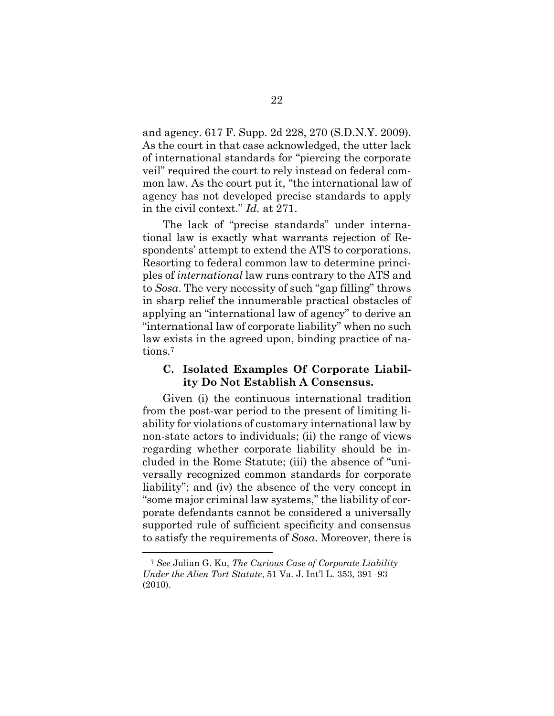and agency. 617 F. Supp. 2d 228, 270 (S.D.N.Y. 2009). As the court in that case acknowledged, the utter lack of international standards for "piercing the corporate veil" required the court to rely instead on federal common law. As the court put it, "the international law of agency has not developed precise standards to apply in the civil context." *Id.* at 271.

The lack of "precise standards" under international law is exactly what warrants rejection of Respondents' attempt to extend the ATS to corporations. Resorting to federal common law to determine principles of *international* law runs contrary to the ATS and to *Sosa*. The very necessity of such "gap filling" throws in sharp relief the innumerable practical obstacles of applying an "international law of agency" to derive an "international law of corporate liability" when no such law exists in the agreed upon, binding practice of nations.<sup>7</sup>

### <span id="page-30-0"></span>**C. Isolated Examples Of Corporate Liability Do Not Establish A Consensus.**

Given (i) the continuous international tradition from the post-war period to the present of limiting liability for violations of customary international law by non-state actors to individuals; (ii) the range of views regarding whether corporate liability should be included in the Rome Statute; (iii) the absence of "universally recognized common standards for corporate liability"; and (iv) the absence of the very concept in "some major criminal law systems," the liability of corporate defendants cannot be considered a universally supported rule of sufficient specificity and consensus to satisfy the requirements of *Sosa*. Moreover, there is

<sup>7</sup> *See* Julian G. Ku, *The Curious Case of Corporate Liability Under the Alien Tort Statute*, 51 Va. J. Int'l L. 353, 391–93 (2010).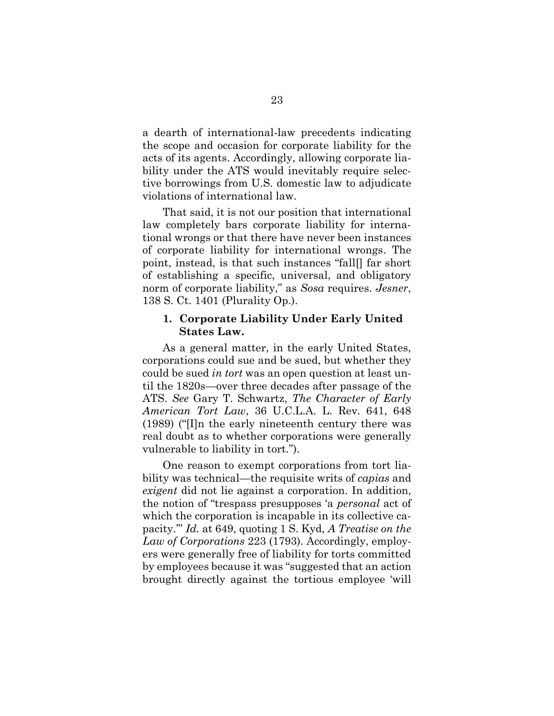a dearth of international-law precedents indicating the scope and occasion for corporate liability for the acts of its agents. Accordingly, allowing corporate liability under the ATS would inevitably require selective borrowings from U.S. domestic law to adjudicate violations of international law.

That said, it is not our position that international law completely bars corporate liability for international wrongs or that there have never been instances of corporate liability for international wrongs. The point, instead, is that such instances "fall[] far short of establishing a specific, universal, and obligatory norm of corporate liability," as *Sosa* requires. *Jesner*, 138 S. Ct. 1401 (Plurality Op.).

#### **1. Corporate Liability Under Early United States Law.**

As a general matter, in the early United States, corporations could sue and be sued, but whether they could be sued *in tort* was an open question at least until the 1820s—over three decades after passage of the ATS. *See* Gary T. Schwartz, *The Character of Early American Tort Law*, 36 U.C.L.A. L. Rev. 641, 648 (1989) ("[I]n the early nineteenth century there was real doubt as to whether corporations were generally vulnerable to liability in tort.").

One reason to exempt corporations from tort liability was technical—the requisite writs of *capias* and *exigent* did not lie against a corporation. In addition, the notion of "trespass presupposes 'a *personal* act of which the corporation is incapable in its collective capacity.'" *Id.* at 649, quoting 1 S. Kyd, *A Treatise on the Law of Corporations* 223 (1793). Accordingly, employers were generally free of liability for torts committed by employees because it was "suggested that an action brought directly against the tortious employee 'will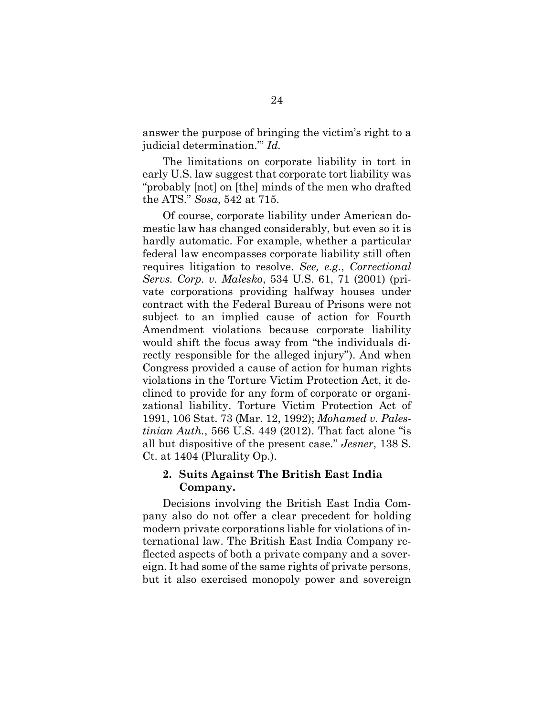answer the purpose of bringing the victim's right to a judicial determination.'" *Id.*

The limitations on corporate liability in tort in early U.S. law suggest that corporate tort liability was "probably [not] on [the] minds of the men who drafted the ATS." *Sosa*, 542 at 715.

Of course, corporate liability under American domestic law has changed considerably, but even so it is hardly automatic. For example, whether a particular federal law encompasses corporate liability still often requires litigation to resolve. *See, e.g.*, *Correctional Servs. Corp. v. Malesko*, 534 U.S. 61, 71 (2001) (private corporations providing halfway houses under contract with the Federal Bureau of Prisons were not subject to an implied cause of action for Fourth Amendment violations because corporate liability would shift the focus away from "the individuals directly responsible for the alleged injury"). And when Congress provided a cause of action for human rights violations in the Torture Victim Protection Act, it declined to provide for any form of corporate or organizational liability. Torture Victim Protection Act of 1991, 106 Stat. 73 (Mar. 12, 1992); *Mohamed v. Palestinian Auth.*, 566 U.S. 449 (2012). That fact alone "is all but dispositive of the present case." *Jesner*, 138 S. Ct. at 1404 (Plurality Op.).

## **2. Suits Against The British East India Company.**

Decisions involving the British East India Company also do not offer a clear precedent for holding modern private corporations liable for violations of international law. The British East India Company reflected aspects of both a private company and a sovereign. It had some of the same rights of private persons, but it also exercised monopoly power and sovereign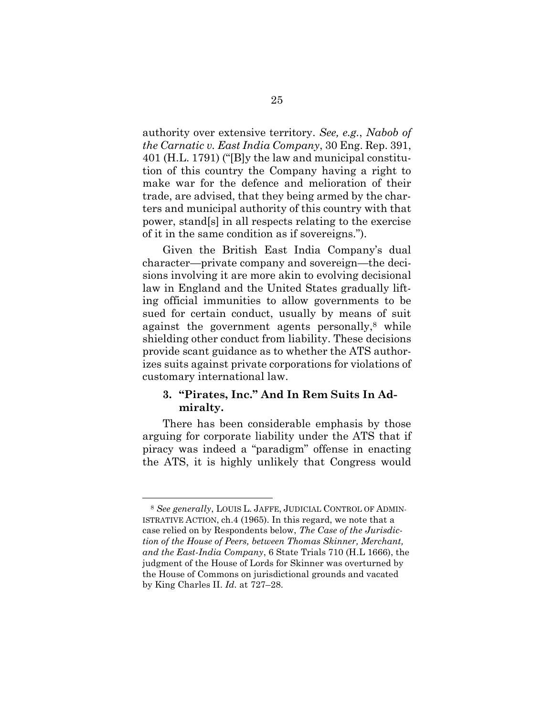authority over extensive territory. *See, e.g.*, *Nabob of the Carnatic v. East India Company*, 30 Eng. Rep. 391, 401 (H.L. 1791) ("[B]y the law and municipal constitution of this country the Company having a right to make war for the defence and melioration of their trade, are advised, that they being armed by the charters and municipal authority of this country with that power, stand[s] in all respects relating to the exercise of it in the same condition as if sovereigns.").

Given the British East India Company's dual character—private company and sovereign—the decisions involving it are more akin to evolving decisional law in England and the United States gradually lifting official immunities to allow governments to be sued for certain conduct, usually by means of suit against the government agents personally, <sup>8</sup> while shielding other conduct from liability. These decisions provide scant guidance as to whether the ATS authorizes suits against private corporations for violations of customary international law.

### **3. "Pirates, Inc." And In Rem Suits In Admiralty.**

There has been considerable emphasis by those arguing for corporate liability under the ATS that if piracy was indeed a "paradigm" offense in enacting the ATS, it is highly unlikely that Congress would

<sup>8</sup> *See generally*, LOUIS L. JAFFE, JUDICIAL CONTROL OF ADMIN-ISTRATIVE ACTION, ch.4 (1965). In this regard, we note that a case relied on by Respondents below, *The Case of the Jurisdiction of the House of Peers, between Thomas Skinner, Merchant, and the East-India Company*, 6 State Trials 710 (H.L 1666), the judgment of the House of Lords for Skinner was overturned by the House of Commons on jurisdictional grounds and vacated by King Charles II. *Id.* at 727–28.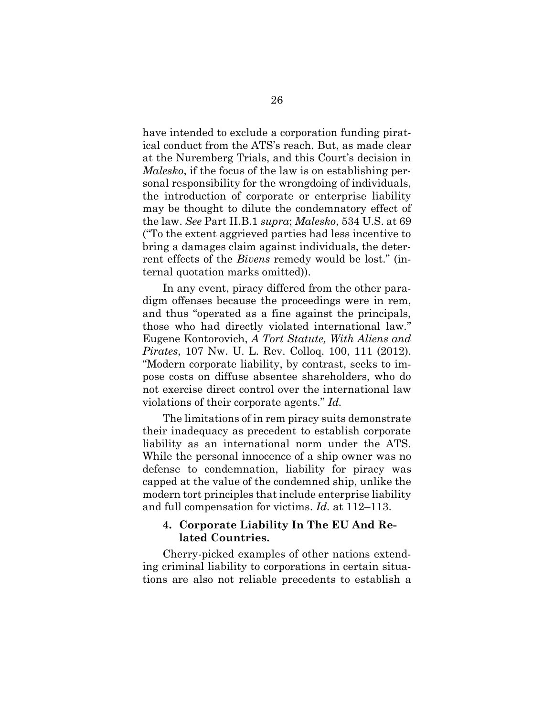have intended to exclude a corporation funding piratical conduct from the ATS's reach. But, as made clear at the Nuremberg Trials, and this Court's decision in *Malesko*, if the focus of the law is on establishing personal responsibility for the wrongdoing of individuals, the introduction of corporate or enterprise liability may be thought to dilute the condemnatory effect of the law. *See* Part II.B.1 *supra*; *Malesko*, 534 U.S. at 69 ("To the extent aggrieved parties had less incentive to bring a damages claim against individuals, the deterrent effects of the *Bivens* remedy would be lost." (internal quotation marks omitted)).

In any event, piracy differed from the other paradigm offenses because the proceedings were in rem, and thus "operated as a fine against the principals, those who had directly violated international law." Eugene Kontorovich, *A Tort Statute, With Aliens and Pirates*, 107 Nw. U. L. Rev. Colloq. 100, 111 (2012). "Modern corporate liability, by contrast, seeks to impose costs on diffuse absentee shareholders, who do not exercise direct control over the international law violations of their corporate agents." *Id.*

The limitations of in rem piracy suits demonstrate their inadequacy as precedent to establish corporate liability as an international norm under the ATS. While the personal innocence of a ship owner was no defense to condemnation, liability for piracy was capped at the value of the condemned ship, unlike the modern tort principles that include enterprise liability and full compensation for victims. *Id.* at 112–113.

### **4. Corporate Liability In The EU And Related Countries.**

Cherry-picked examples of other nations extending criminal liability to corporations in certain situations are also not reliable precedents to establish a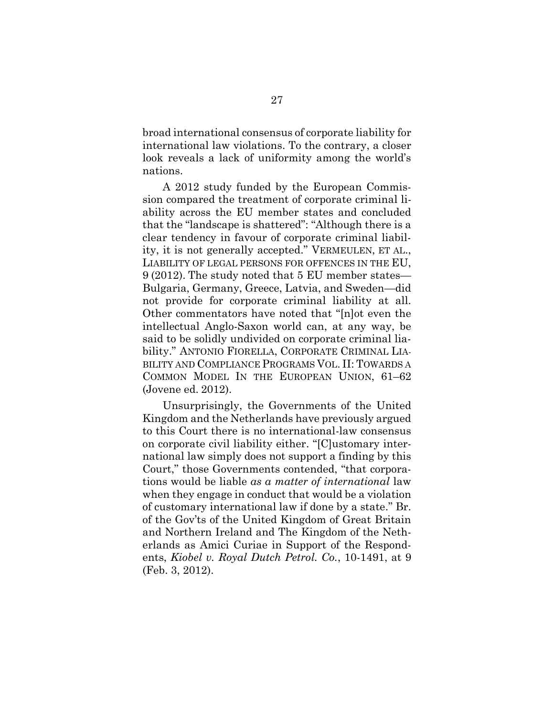broad international consensus of corporate liability for international law violations. To the contrary, a closer look reveals a lack of uniformity among the world's nations.

A 2012 study funded by the European Commission compared the treatment of corporate criminal liability across the EU member states and concluded that the "landscape is shattered": "Although there is a clear tendency in favour of corporate criminal liability, it is not generally accepted." VERMEULEN, ET AL., LIABILITY OF LEGAL PERSONS FOR OFFENCES IN THE EU, 9 (2012). The study noted that 5 EU member states— Bulgaria, Germany, Greece, Latvia, and Sweden—did not provide for corporate criminal liability at all. Other commentators have noted that "[n]ot even the intellectual Anglo-Saxon world can, at any way, be said to be solidly undivided on corporate criminal liability." ANTONIO FIORELLA, CORPORATE CRIMINAL LIA-BILITY AND COMPLIANCE PROGRAMS VOL. II: TOWARDS A COMMON MODEL IN THE EUROPEAN UNION, 61–62 (Jovene ed. 2012).

Unsurprisingly, the Governments of the United Kingdom and the Netherlands have previously argued to this Court there is no international-law consensus on corporate civil liability either. "[C]ustomary international law simply does not support a finding by this Court," those Governments contended, "that corporations would be liable *as a matter of international* law when they engage in conduct that would be a violation of customary international law if done by a state." Br. of the Gov'ts of the United Kingdom of Great Britain and Northern Ireland and The Kingdom of the Netherlands as Amici Curiae in Support of the Respondents, *Kiobel v. Royal Dutch Petrol. Co.*, 10-1491, at 9 (Feb. 3, 2012).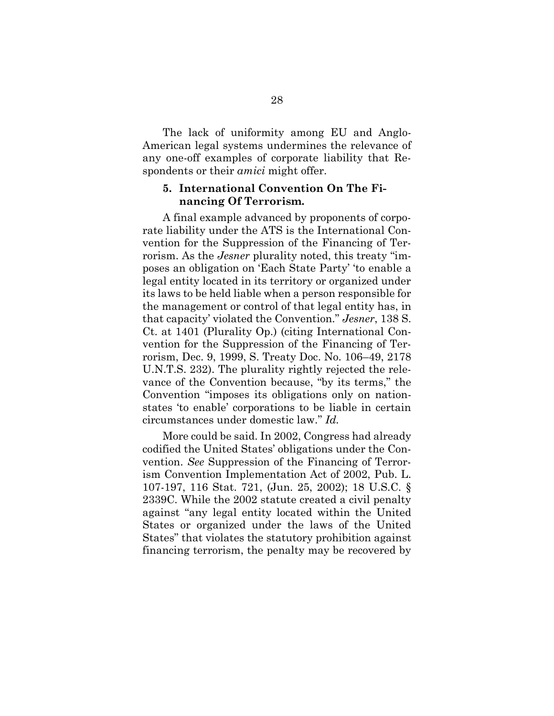The lack of uniformity among EU and Anglo-American legal systems undermines the relevance of any one-off examples of corporate liability that Respondents or their *amici* might offer.

#### **5. International Convention On The Financing Of Terrorism.**

A final example advanced by proponents of corporate liability under the ATS is the International Convention for the Suppression of the Financing of Terrorism. As the *Jesner* plurality noted, this treaty "imposes an obligation on 'Each State Party' 'to enable a legal entity located in its territory or organized under its laws to be held liable when a person responsible for the management or control of that legal entity has, in that capacity' violated the Convention." *Jesner*, 138 S. Ct. at 1401 (Plurality Op.) (citing International Convention for the Suppression of the Financing of Terrorism, Dec. 9, 1999, S. Treaty Doc. No. 106–49, 2178 U.N.T.S. 232). The plurality rightly rejected the relevance of the Convention because, "by its terms," the Convention "imposes its obligations only on nationstates 'to enable' corporations to be liable in certain circumstances under domestic law." *Id.* 

More could be said. In 2002, Congress had already codified the United States' obligations under the Convention. *See* Suppression of the Financing of Terrorism Convention Implementation Act of 2002, Pub. L. 107-197, 116 Stat. 721, (Jun. 25, 2002); 18 U.S.C. § 2339C. While the 2002 statute created a civil penalty against "any legal entity located within the United States or organized under the laws of the United States" that violates the statutory prohibition against financing terrorism, the penalty may be recovered by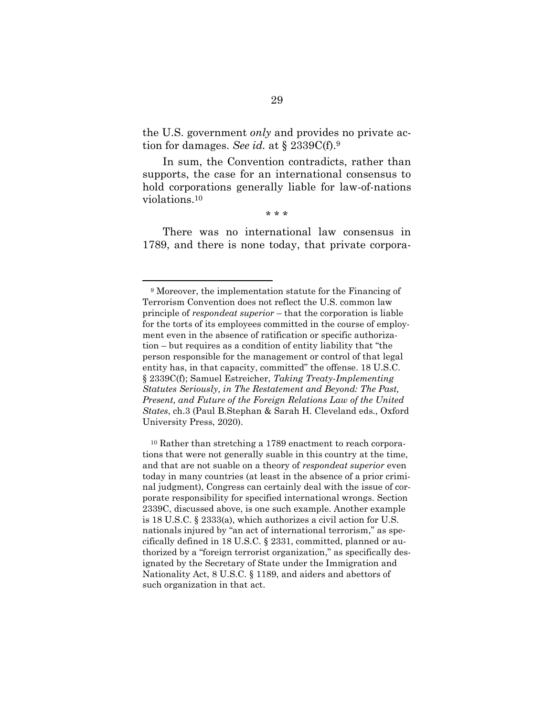the U.S. government *only* and provides no private action for damages. *See id.* at § 2339C(f). 9

In sum, the Convention contradicts, rather than supports, the case for an international consensus to hold corporations generally liable for law-of-nations violations.<sup>10</sup>

\* \* \*

There was no international law consensus in 1789, and there is none today, that private corpora-

<sup>9</sup> Moreover, the implementation statute for the Financing of Terrorism Convention does not reflect the U.S. common law principle of *respondeat superior* – that the corporation is liable for the torts of its employees committed in the course of employment even in the absence of ratification or specific authorization – but requires as a condition of entity liability that "the person responsible for the management or control of that legal entity has, in that capacity, committed" the offense. 18 U.S.C. § 2339C(f); Samuel Estreicher, *Taking Treaty-Implementing Statutes Seriously, in The Restatement and Beyond: The Past, Present, and Future of the Foreign Relations Law of the United States*, ch.3 (Paul B.Stephan & Sarah H. Cleveland eds., Oxford University Press, 2020).

<sup>10</sup> Rather than stretching a 1789 enactment to reach corporations that were not generally suable in this country at the time, and that are not suable on a theory of *respondeat superior* even today in many countries (at least in the absence of a prior criminal judgment), Congress can certainly deal with the issue of corporate responsibility for specified international wrongs. Section 2339C, discussed above, is one such example. Another example is 18 U.S.C. § 2333(a), which authorizes a civil action for U.S. nationals injured by "an act of international terrorism," as specifically defined in 18 U.S.C. § 2331, committed, planned or authorized by a "foreign terrorist organization," as specifically designated by the Secretary of State under the Immigration and Nationality Act, 8 U.S.C. § 1189, and aiders and abettors of such organization in that act.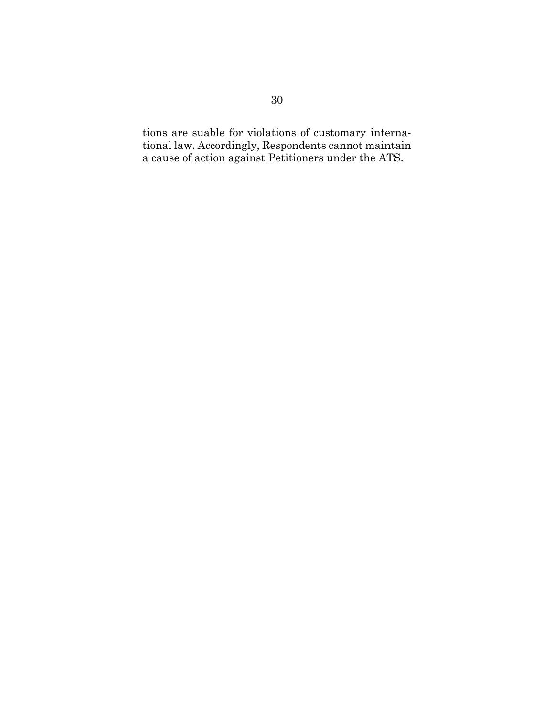<span id="page-38-0"></span>tions are suable for violations of customary international law. Accordingly, Respondents cannot maintain a cause of action against Petitioners under the ATS.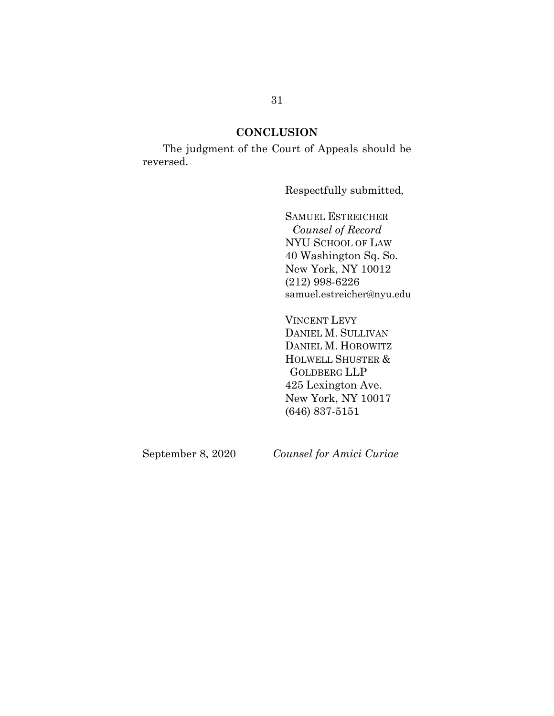### **CONCLUSION**

The judgment of the Court of Appeals should be reversed.

Respectfully submitted,

SAMUEL ESTREICHER *Counsel of Record* NYU SCHOOL OF LAW 40 Washington Sq. So. New York, NY 10012 (212) 998-6226 samuel.estreicher@nyu.edu

<span id="page-39-0"></span>VINCENT LEVY DANIEL M. SULLIVAN DANIEL M. HOROWITZ HOLWELL SHUSTER & GOLDBERG LLP 425 Lexington Ave. New York, NY 10017 (646) 837-5151

September 8, 2020 *Counsel for Amici Curiae*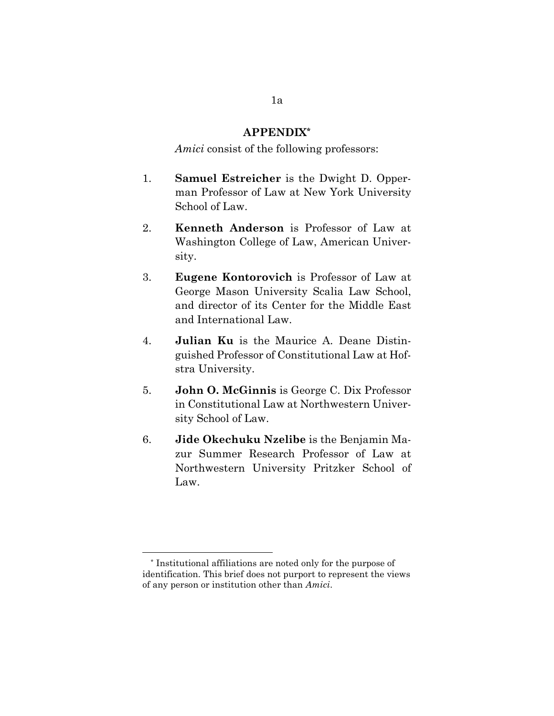#### **APPENDIX\***

*Amici* consist of the following professors:

- 1. **Samuel Estreicher** is the Dwight D. Opperman Professor of Law at New York University School of Law.
- 2. **Kenneth Anderson** is Professor of Law at Washington College of Law, American University.
- 3. **Eugene Kontorovich** is Professor of Law at George Mason University Scalia Law School, and director of its Center for the Middle East and International Law.
- 4. **Julian Ku** is the Maurice A. Deane Distinguished Professor of Constitutional Law at Hofstra University.
- 5. **John O. McGinnis** is George C. Dix Professor in Constitutional Law at Northwestern University School of Law.
- 6. **Jide Okechuku Nzelibe** is the Benjamin Mazur Summer Research Professor of Law at Northwestern University Pritzker School of Law.

<sup>\*</sup> Institutional affiliations are noted only for the purpose of identification. This brief does not purport to represent the views of any person or institution other than *Amici*.